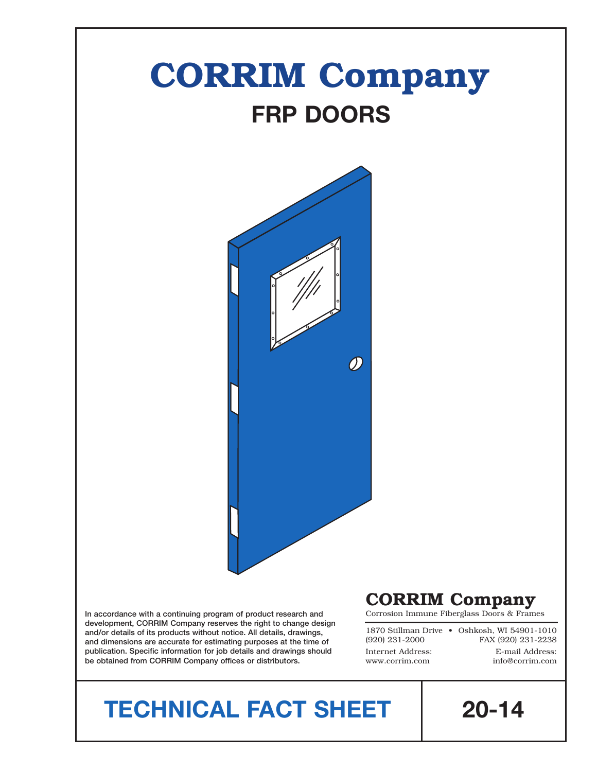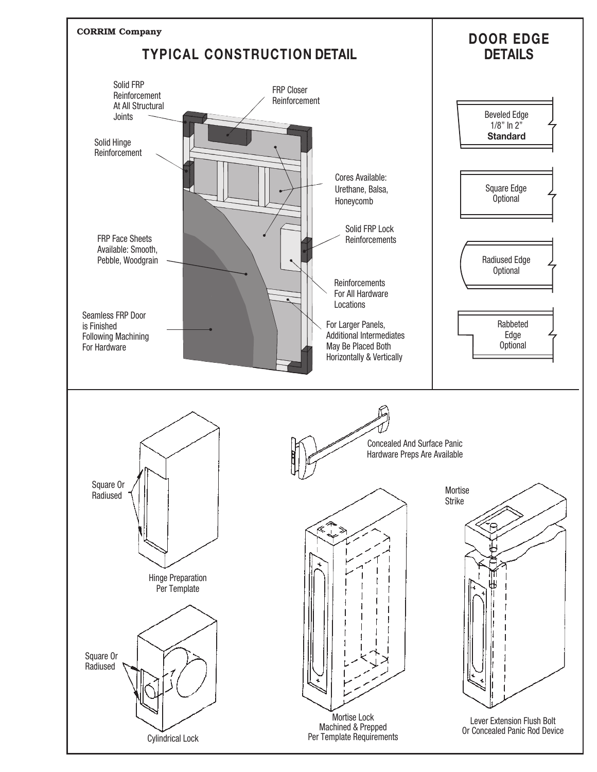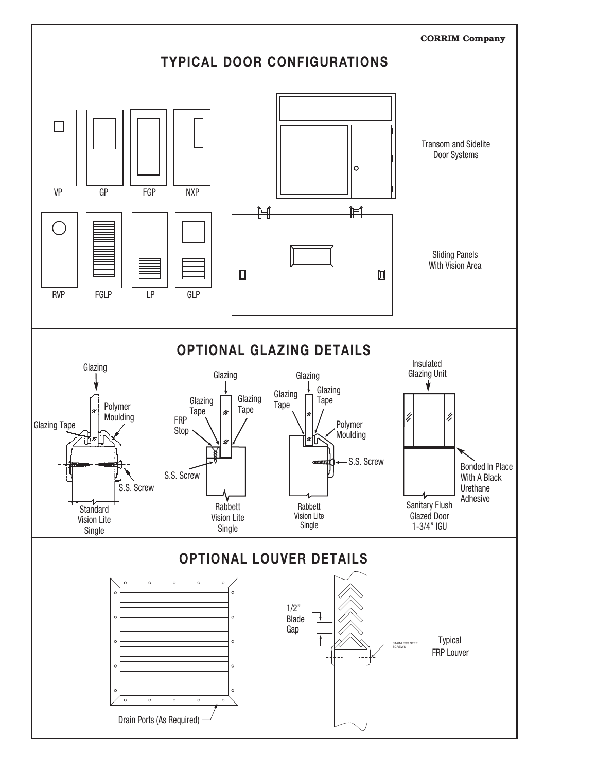